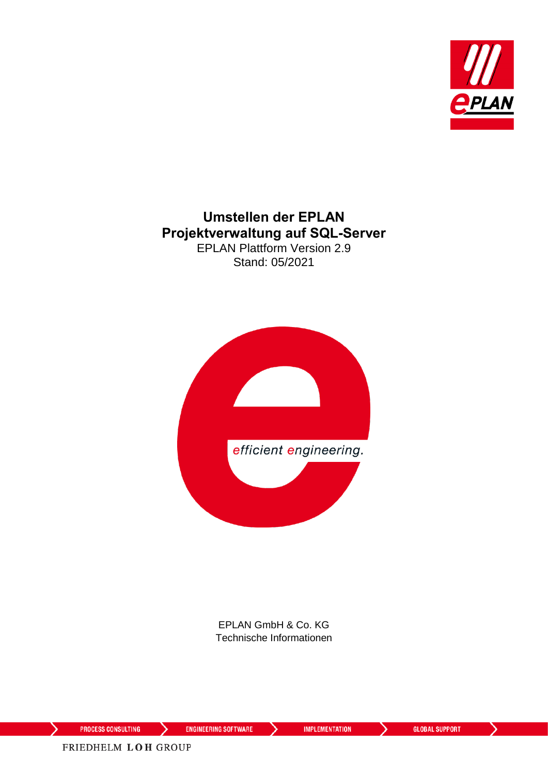

#### **Umstellen der EPLAN Projektverwaltung auf SQL-Server** EPLAN Plattform Version 2.9 Stand: 05/2021



EPLAN GmbH & Co. KG Technische Informationen

⋋

**ENGINEERING SOFTWARE** 

**IMPLEMENTATION** 

⋋

⋋

FRIEDHELM LOH GROUP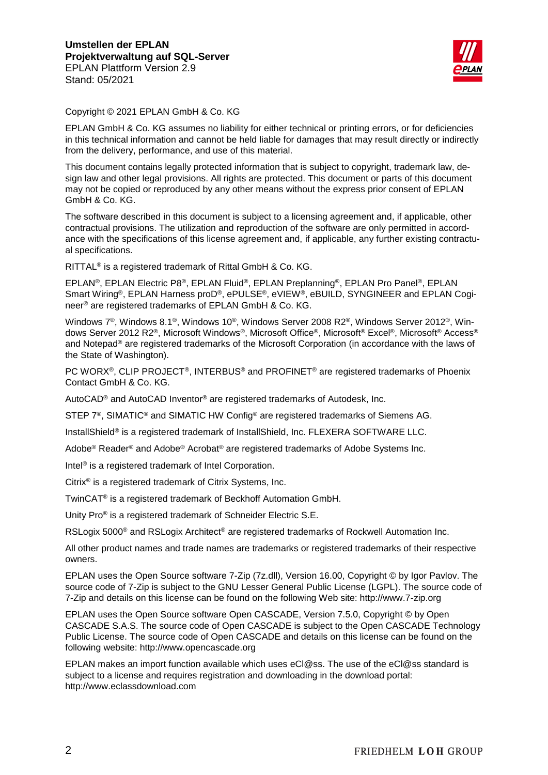

Copyright © 2021 EPLAN GmbH & Co. KG

EPLAN GmbH & Co. KG assumes no liability for either technical or printing errors, or for deficiencies in this technical information and cannot be held liable for damages that may result directly or indirectly from the delivery, performance, and use of this material.

This document contains legally protected information that is subject to copyright, trademark law, design law and other legal provisions. All rights are protected. This document or parts of this document may not be copied or reproduced by any other means without the express prior consent of EPLAN GmbH & Co. KG.

The software described in this document is subject to a licensing agreement and, if applicable, other contractual provisions. The utilization and reproduction of the software are only permitted in accordance with the specifications of this license agreement and, if applicable, any further existing contractual specifications.

RITTAL® is a registered trademark of Rittal GmbH & Co. KG.

EPLAN®, EPLAN Electric P8®, EPLAN Fluid®, EPLAN Preplanning®, EPLAN Pro Panel®, EPLAN Smart Wiring®, EPLAN Harness proD®, ePULSE®, eVIEW®, eBUILD, SYNGINEER and EPLAN Cogineer® are registered trademarks of EPLAN GmbH & Co. KG.

Windows 7®, Windows 8.1®, Windows 10®, Windows Server 2008 R2®, Windows Server 2012®, Windows Server 2012 R2®, Microsoft Windows®, Microsoft Office®, Microsoft® Excel®, Microsoft® Access® and Notepad® are registered trademarks of the Microsoft Corporation (in accordance with the laws of the State of Washington).

PC WORX®, CLIP PROJECT®, INTERBUS® and PROFINET® are registered trademarks of Phoenix Contact GmbH & Co. KG.

AutoCAD® and AutoCAD Inventor® are registered trademarks of Autodesk, Inc.

STEP 7<sup>®</sup>, SIMATIC<sup>®</sup> and SIMATIC HW Config<sup>®</sup> are registered trademarks of Siemens AG.

InstallShield® is a registered trademark of InstallShield, Inc. FLEXERA SOFTWARE LLC.

Adobe® Reader® and Adobe® Acrobat® are registered trademarks of Adobe Systems Inc.

Intel<sup>®</sup> is a registered trademark of Intel Corporation.

Citrix® is a registered trademark of Citrix Systems, Inc.

TwinCAT® is a registered trademark of Beckhoff Automation GmbH.

Unity Pro® is a registered trademark of Schneider Electric S.E.

RSLogix 5000<sup>®</sup> and RSLogix Architect<sup>®</sup> are registered trademarks of Rockwell Automation Inc.

All other product names and trade names are trademarks or registered trademarks of their respective owners.

EPLAN uses the Open Source software 7-Zip (7z.dll), Version 16.00, Copyright © by Igor Pavlov. The source code of 7-Zip is subject to the GNU Lesser General Public License (LGPL). The source code of 7-Zip and details on this license can be found on the following Web site: http://www.7-zip.org

EPLAN uses the Open Source software Open CASCADE, Version 7.5.0, Copyright © by Open CASCADE S.A.S. The source code of Open CASCADE is subject to the Open CASCADE Technology Public License. The source code of Open CASCADE and details on this license can be found on the following website: http://www.opencascade.org

EPLAN makes an import function available which uses eCl@ss. The use of the eCl@ss standard is subject to a license and requires registration and downloading in the download portal: http://www.eclassdownload.com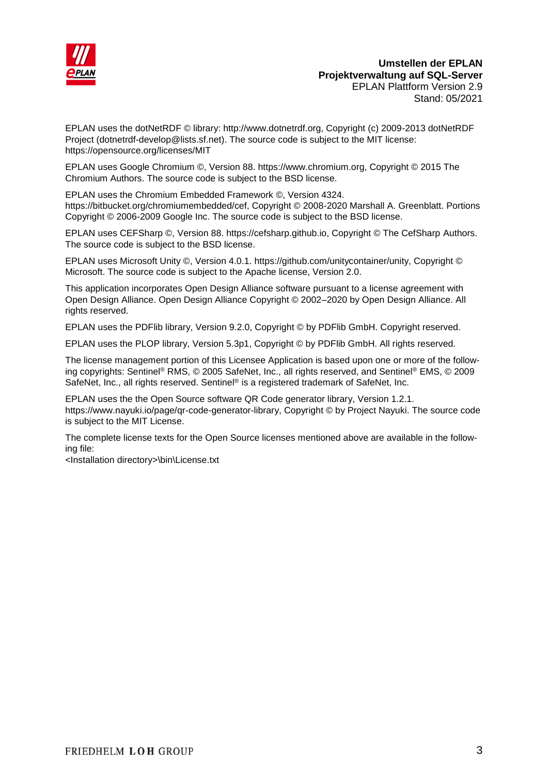

#### **Umstellen der EPLAN Projektverwaltung auf SQL-Server** EPLAN Plattform Version 2.9 Stand: 05/2021

EPLAN uses the dotNetRDF © library: http://www.dotnetrdf.org, Copyright (c) 2009-2013 dotNetRDF Project (dotnetrdf-develop@lists.sf.net). The source code is subject to the MIT license: https://opensource.org/licenses/MIT

EPLAN uses Google Chromium ©, Version 88. https://www.chromium.org, Copyright © 2015 The Chromium Authors. The source code is subject to the BSD license.

EPLAN uses the Chromium Embedded Framework ©, Version 4324. https://bitbucket.org/chromiumembedded/cef, Copyright © 2008-2020 Marshall A. Greenblatt. Portions Copyright © 2006-2009 Google Inc. The source code is subject to the BSD license.

EPLAN uses CEFSharp ©, Version 88. https://cefsharp.github.io, Copyright © The CefSharp Authors. The source code is subject to the BSD license.

EPLAN uses Microsoft Unity ©, Version 4.0.1. https://github.com/unitycontainer/unity, Copyright © Microsoft. The source code is subject to the Apache license, Version 2.0.

This application incorporates Open Design Alliance software pursuant to a license agreement with Open Design Alliance. Open Design Alliance Copyright © 2002–2020 by Open Design Alliance. All rights reserved.

EPLAN uses the PDFlib library, Version 9.2.0, Copyright © by PDFlib GmbH. Copyright reserved.

EPLAN uses the PLOP library, Version 5.3p1, Copyright © by PDFlib GmbH. All rights reserved.

The license management portion of this Licensee Application is based upon one or more of the following copyrights: Sentinel® RMS, © 2005 SafeNet, Inc., all rights reserved, and Sentinel® EMS, © 2009 SafeNet, Inc., all rights reserved. Sentinel® is a registered trademark of SafeNet, Inc.

EPLAN uses the the Open Source software QR Code generator library, Version 1.2.1. https://www.nayuki.io/page/qr-code-generator-library, Copyright © by Project Nayuki. The source code is subject to the MIT License.

The complete license texts for the Open Source licenses mentioned above are available in the following file:

<Installation directory>\bin\License.txt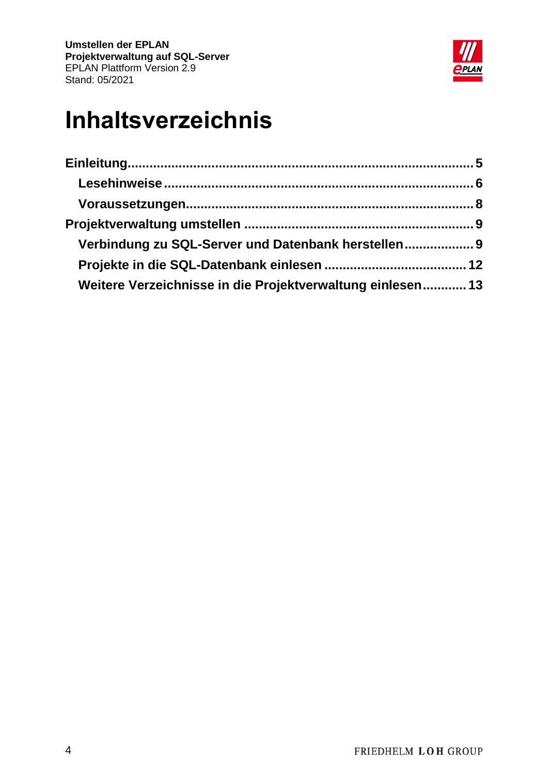

# **Inhaltsverzeichnis**

| Verbindung zu SQL-Server und Datenbank herstellen 9        |  |
|------------------------------------------------------------|--|
|                                                            |  |
| Weitere Verzeichnisse in die Projektverwaltung einlesen 13 |  |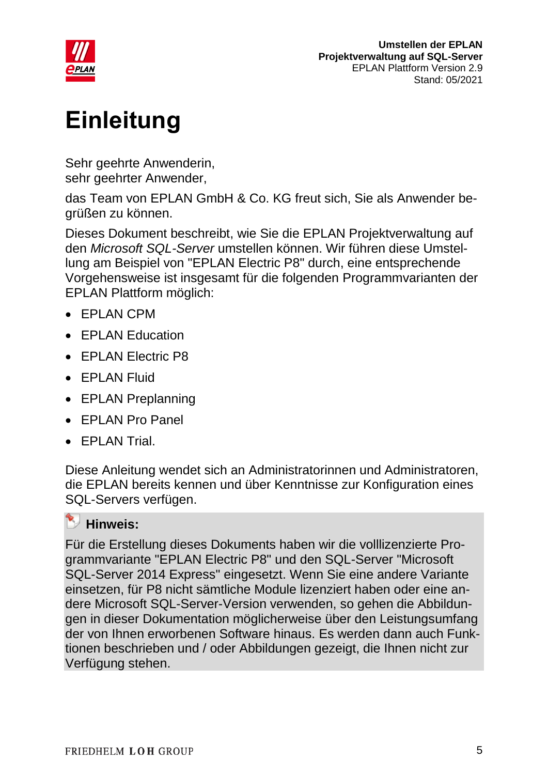

# <span id="page-4-0"></span>**Einleitung**

Sehr geehrte Anwenderin, sehr geehrter Anwender,

das Team von EPLAN GmbH & Co. KG freut sich, Sie als Anwender begrüßen zu können.

Dieses Dokument beschreibt, wie Sie die EPLAN Projektverwaltung auf den *Microsoft SQL-Server* umstellen können. Wir führen diese Umstellung am Beispiel von "EPLAN Electric P8" durch, eine entsprechende Vorgehensweise ist insgesamt für die folgenden Programmvarianten der EPLAN Plattform möglich:

- EPLAN CPM
- FPI AN Education
- EPLAN Electric P8
- EPLAN Fluid
- EPLAN Preplanning
- EPLAN Pro Panel
- EPLAN Trial.

Diese Anleitung wendet sich an Administratorinnen und Administratoren, die EPLAN bereits kennen und über Kenntnisse zur Konfiguration eines SQL-Servers verfügen.

#### **Hinweis:**

Für die Erstellung dieses Dokuments haben wir die volllizenzierte Programmvariante "EPLAN Electric P8" und den SQL-Server "Microsoft SQL-Server 2014 Express" eingesetzt. Wenn Sie eine andere Variante einsetzen, für P8 nicht sämtliche Module lizenziert haben oder eine andere Microsoft SQL-Server-Version verwenden, so gehen die Abbildungen in dieser Dokumentation möglicherweise über den Leistungsumfang der von Ihnen erworbenen Software hinaus. Es werden dann auch Funktionen beschrieben und / oder Abbildungen gezeigt, die Ihnen nicht zur Verfügung stehen.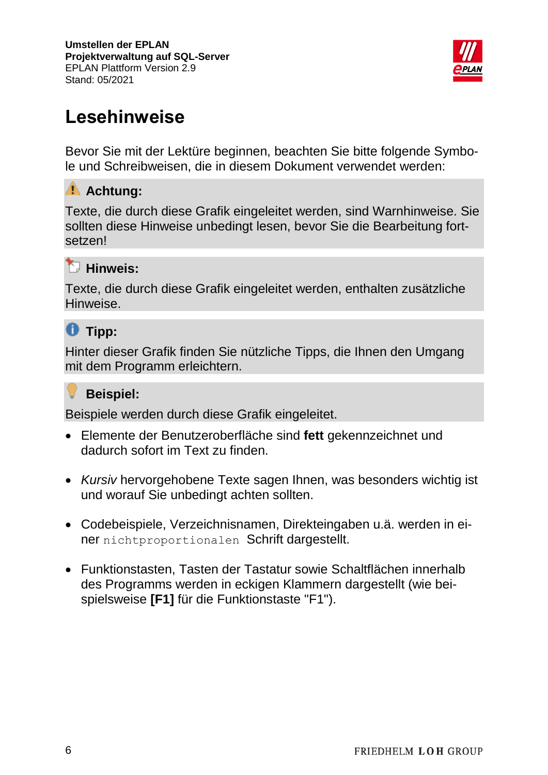

## <span id="page-5-0"></span>**Lesehinweise**

Bevor Sie mit der Lektüre beginnen, beachten Sie bitte folgende Symbole und Schreibweisen, die in diesem Dokument verwendet werden:

### **Achtung:**

Texte, die durch diese Grafik eingeleitet werden, sind Warnhinweise. Sie sollten diese Hinweise unbedingt lesen, bevor Sie die Bearbeitung fortsetzen!

### **Hinweis:**

Texte, die durch diese Grafik eingeleitet werden, enthalten zusätzliche Hinweise.

## **Tipp:**

Hinter dieser Grafik finden Sie nützliche Tipps, die Ihnen den Umgang mit dem Programm erleichtern.

#### v **Beispiel:**

Beispiele werden durch diese Grafik eingeleitet.

- Elemente der Benutzeroberfläche sind **fett** gekennzeichnet und dadurch sofort im Text zu finden.
- *Kursiv* hervorgehobene Texte sagen Ihnen, was besonders wichtig ist und worauf Sie unbedingt achten sollten.
- Codebeispiele, Verzeichnisnamen, Direkteingaben u.ä. werden in einer nichtproportionalen Schrift dargestellt.
- Funktionstasten, Tasten der Tastatur sowie Schaltflächen innerhalb des Programms werden in eckigen Klammern dargestellt (wie beispielsweise **[F1]** für die Funktionstaste "F1").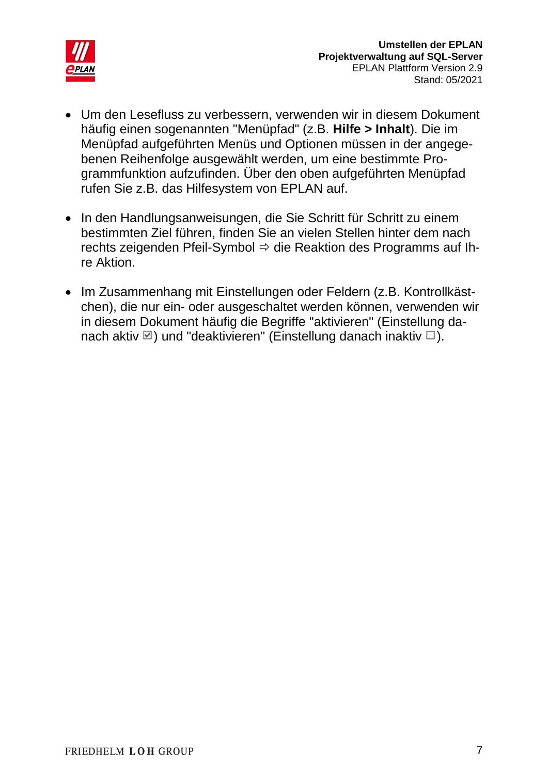

- Um den Lesefluss zu verbessern, verwenden wir in diesem Dokument häufig einen sogenannten "Menüpfad" (z.B. **Hilfe > Inhalt**). Die im Menüpfad aufgeführten Menüs und Optionen müssen in der angegebenen Reihenfolge ausgewählt werden, um eine bestimmte Programmfunktion aufzufinden. Über den oben aufgeführten Menüpfad rufen Sie z.B. das Hilfesystem von EPLAN auf.
- In den Handlungsanweisungen, die Sie Schritt für Schritt zu einem bestimmten Ziel führen, finden Sie an vielen Stellen hinter dem nach rechts zeigenden Pfeil-Symbol  $\Rightarrow$  die Reaktion des Programms auf Ihre Aktion.
- Im Zusammenhang mit Einstellungen oder Feldern (z.B. Kontrollkästchen), die nur ein- oder ausgeschaltet werden können, verwenden wir in diesem Dokument häufig die Begriffe "aktivieren" (Einstellung danach aktiv  $\Box$ ) und "deaktivieren" (Einstellung danach inaktiv  $\Box$ ).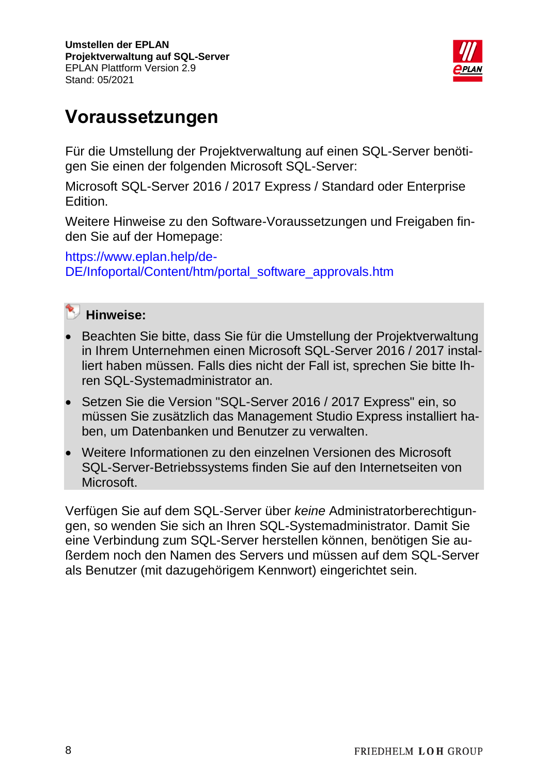

## <span id="page-7-0"></span>**Voraussetzungen**

Für die Umstellung der Projektverwaltung auf einen SQL-Server benötigen Sie einen der folgenden Microsoft SQL-Server:

Microsoft SQL-Server 2016 / 2017 Express / Standard oder Enterprise Edition.

Weitere Hinweise zu den Software-Voraussetzungen und Freigaben finden Sie auf der Homepage:

[https://www.eplan.help/de-](https://www.eplan.help/de-DE/Infoportal/Content/htm/portal_software_approvals.htm)[DE/Infoportal/Content/htm/portal\\_software\\_approvals.htm](https://www.eplan.help/de-DE/Infoportal/Content/htm/portal_software_approvals.htm)



#### **Hinweise:**

- Beachten Sie bitte, dass Sie für die Umstellung der Projektverwaltung in Ihrem Unternehmen einen Microsoft SQL-Server 2016 / 2017 installiert haben müssen. Falls dies nicht der Fall ist, sprechen Sie bitte Ihren SQL-Systemadministrator an.
- Setzen Sie die Version "SQL-Server 2016 / 2017 Express" ein, so müssen Sie zusätzlich das Management Studio Express installiert haben, um Datenbanken und Benutzer zu verwalten.
- Weitere Informationen zu den einzelnen Versionen des Microsoft SQL-Server-Betriebssystems finden Sie auf den Internetseiten von **Microsoft**

Verfügen Sie auf dem SQL-Server über *keine* Administratorberechtigungen, so wenden Sie sich an Ihren SQL-Systemadministrator. Damit Sie eine Verbindung zum SQL-Server herstellen können, benötigen Sie außerdem noch den Namen des Servers und müssen auf dem SQL-Server als Benutzer (mit dazugehörigem Kennwort) eingerichtet sein.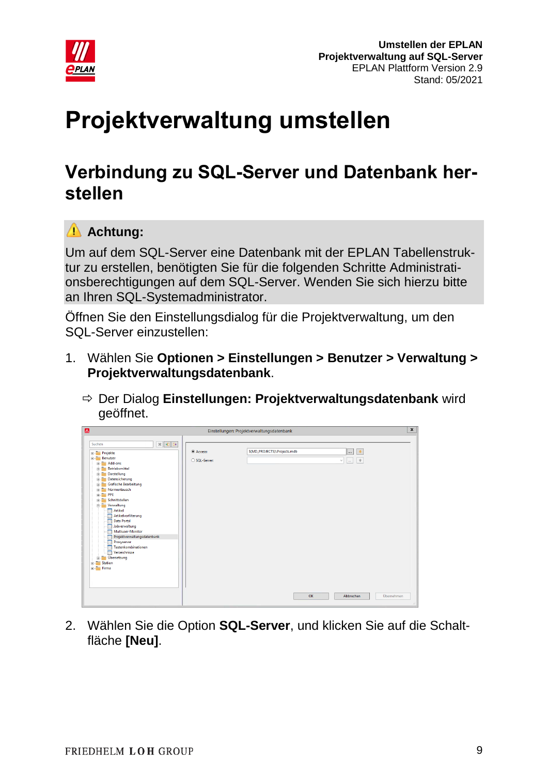

# <span id="page-8-0"></span>**Projektverwaltung umstellen**

## <span id="page-8-1"></span>**Verbindung zu SQL-Server und Datenbank herstellen**

### **Achtung:**

Um auf dem SQL-Server eine Datenbank mit der EPLAN Tabellenstruktur zu erstellen, benötigten Sie für die folgenden Schritte Administrationsberechtigungen auf dem SQL-Server. Wenden Sie sich hierzu bitte an Ihren SQL-Systemadministrator.

Öffnen Sie den Einstellungsdialog für die Projektverwaltung, um den SQL-Server einzustellen:

- 1. Wählen Sie **Optionen > Einstellungen > Benutzer > Verwaltung > Projektverwaltungsdatenbank**.
	- Der Dialog **Einstellungen: Projektverwaltungsdatenbank** wird geöffnet.

| $\Delta$                                                                                                                                                                                                                                                                                                                                                                                                                                                                                                                                                                                                        |                          | Einstellungen: Projektverwaltungsdatenbank |                                                          | $\mathbf{x}$ |
|-----------------------------------------------------------------------------------------------------------------------------------------------------------------------------------------------------------------------------------------------------------------------------------------------------------------------------------------------------------------------------------------------------------------------------------------------------------------------------------------------------------------------------------------------------------------------------------------------------------------|--------------------------|--------------------------------------------|----------------------------------------------------------|--------------|
| $\mathbb{X}$ $\mathbb{R}$ $\mathbb{R}$<br>Suchen<br><b>Projekte</b><br>Benutzer<br>$\mathbb{H}$ $\blacksquare$ Add-ons<br><b>Betriebsmittel</b><br>歯<br>Darstellung<br>宙<br>Datensicherung<br>宙<br>Grafische Bearbeitung<br>宙<br>Normentausch<br>曽<br>$\mathbb{R}$ PPE<br><b>E-Schnittstellen</b><br><b>E</b> Verwaltung<br><b>n</b> Artikel<br><b>Artikelvorfilterung</b><br>in,<br><b>Data Portal</b><br><b>Jobverwaltung</b><br>Multiuser-Monitor<br>ō<br>Projektverwaltungsdatenbank<br>Proxyserver<br>10<br>Tastenkombinationen<br>m<br>Verzeichnisse<br>Ŧп<br><b>E-</b> Übersetzung<br>Station<br>E-Firma | Access:<br>○ SQL-Server: | S(MD_PROJECTS)\Projects.mdb<br>OK          | 米<br>$\cdots$<br>$*$<br>$\bar{m}$<br>$\vee$<br>Abbrechen | Übernehmen   |

2. Wählen Sie die Option **SQL-Server**, und klicken Sie auf die Schaltfläche **[Neu]**.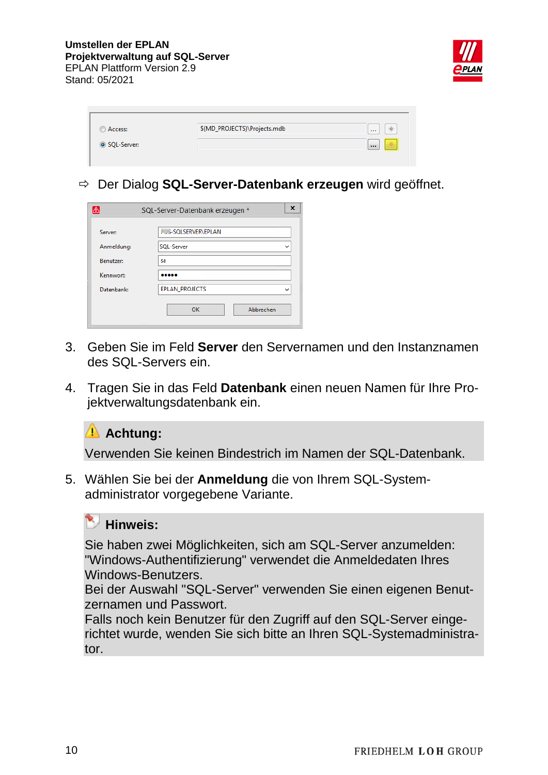

| Access:     | \$(MD_PROJECTS)\Projects.mdb | *<br>1.11     |
|-------------|------------------------------|---------------|
| SQL-Server: |                              | ÷<br>$\cdots$ |
|             |                              |               |

Der Dialog **SQL-Server-Datenbank erzeugen** wird geöffnet.

| A                | SQL-Server-Datenbank erzeugen * | x |
|------------------|---------------------------------|---|
| Server:          | .US-SOLSERVER\EPLAN             |   |
| Anmeldung:       | SQL-Server                      |   |
| <b>Benutzer:</b> | sa                              |   |
| Kennwort:        |                                 |   |
| Datenbank:       | <b>EPLAN PROJECTS</b>           | ы |
|                  | Abbrechen<br>OK                 |   |

- 3. Geben Sie im Feld **Server** den Servernamen und den Instanznamen des SQL-Servers ein.
- 4. Tragen Sie in das Feld **Datenbank** einen neuen Namen für Ihre Projektverwaltungsdatenbank ein.

#### **Achtung:**

Verwenden Sie keinen Bindestrich im Namen der SQL-Datenbank.

5. Wählen Sie bei der **Anmeldung** die von Ihrem SQL-Systemadministrator vorgegebene Variante.

#### **Hinweis:**

Sie haben zwei Möglichkeiten, sich am SQL-Server anzumelden: "Windows-Authentifizierung" verwendet die Anmeldedaten Ihres Windows-Benutzers.

Bei der Auswahl "SQL-Server" verwenden Sie einen eigenen Benutzernamen und Passwort.

Falls noch kein Benutzer für den Zugriff auf den SQL-Server eingerichtet wurde, wenden Sie sich bitte an Ihren SQL-Systemadministrator.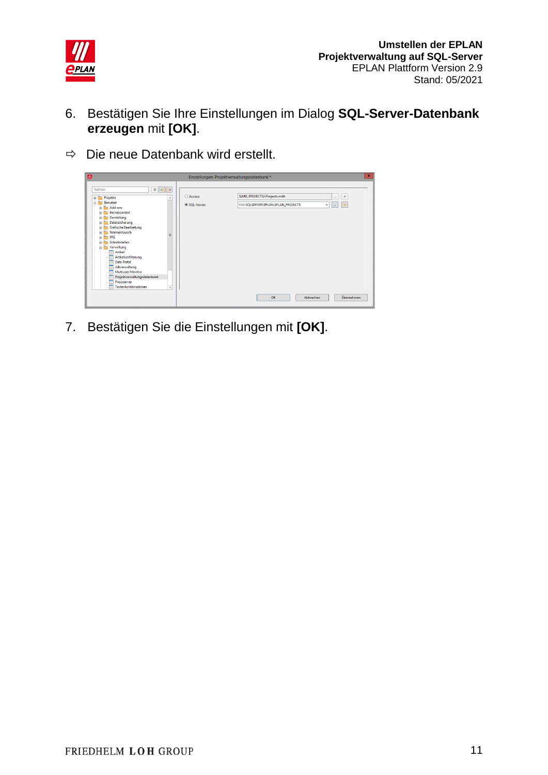

- 6. Bestätigen Sie Ihre Einstellungen im Dialog **SQL-Server-Datenbank erzeugen** mit **[OK]**.
- $\Rightarrow$  Die neue Datenbank wird erstellt.



7. Bestätigen Sie die Einstellungen mit **[OK]**.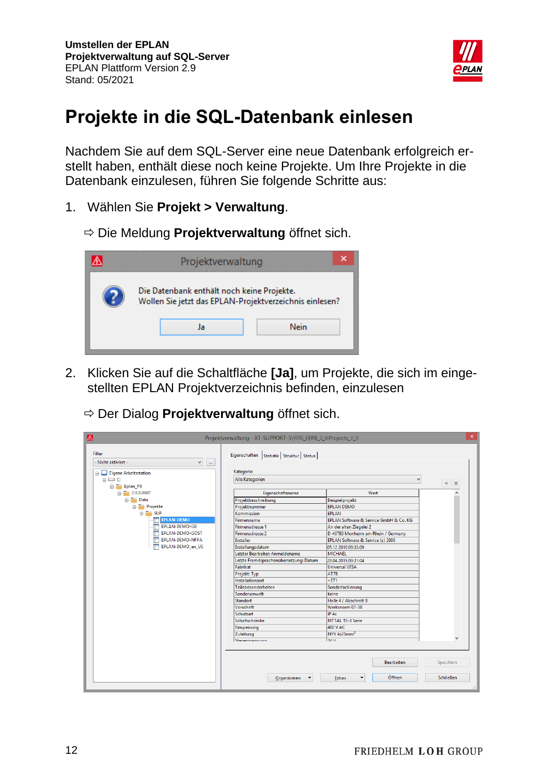

## <span id="page-11-0"></span>**Projekte in die SQL-Datenbank einlesen**

Nachdem Sie auf dem SQL-Server eine neue Datenbank erfolgreich erstellt haben, enthält diese noch keine Projekte. Um Ihre Projekte in die Datenbank einzulesen, führen Sie folgende Schritte aus:

- 1. Wählen Sie **Projekt > Verwaltung**.
	- Die Meldung **Projektverwaltung** öffnet sich.

| Projektverwaltung                                                                                     | ×    |
|-------------------------------------------------------------------------------------------------------|------|
| Die Datenbank enthält noch keine Projekte.<br>Wollen Sie jetzt das EPLAN-Projektverzeichnis einlesen? | Nein |
| Ja                                                                                                    |      |

- 2. Klicken Sie auf die Schaltfläche **[Ja]**, um Projekte, die sich im eingestellten EPLAN Projektverzeichnis befinden, einzulesen
	- Der Dialog **Projektverwaltung** öffnet sich.

| Filter<br>Eigenschaften Statistik Struktur Status<br>- Nicht aktiviert -<br>٧<br>$\mathbf{m}$ .<br>Kategorie:<br>Eigene Arbeitsstation<br>Alle Kategorien<br>$\Box$ $\Box$ C:<br>u<br>*<br>$\vert x \rangle$<br>Eplan_P8<br>Wert<br>Eigenschaftsname<br>o a me<br>in Data<br>Projektbeschreibung<br>Beispielprojekt<br>Projekte<br>Projektnummer<br><b>EPLAN DEMO</b><br>$\frac{1}{10}$ SUP<br><b>EPLAN</b><br>Kommission<br><b>EPLAN-DEMO</b><br>EPLAN Software & Service GmbH & Co. KG<br>Firmenname<br><b>FRED EPLAN-DEMO-GB</b><br>Firmenadresse 1<br>An der alten Ziegelei 2<br><b>FRIDED BRIDGE ST</b><br>D-40789 Monheim am Rhein / Germany<br><b>Firmenadresse 2</b><br><b>FOR EPLAN-DEMO-NFPA</b><br>Ersteller<br>EPLAN Software & Service (c) 2006<br>EPLAN-DEMO_en_US<br>г<br>Erstellungsdatum<br>05.12.2010 09:33:09<br>Letzter Bearbeiter: Anmeldename<br><b>MICHAEL</b><br>Letzte Fremdsprachenübersetzung: Datum<br>29.04.2015 09:31:04<br>Fabrikat<br><b>Universal VESA</b><br><b>AT78</b><br>Projekt: Typ<br>Installationsort<br>$+ET1$<br>Teilebesonderheiten<br>Sonderlackierung<br>Sonderumwelt<br>keine<br>Standort<br>Halle 4 / Abschnitt B<br>Werksnorm 07-3B<br><b>Vorschrift</b><br>Schutzart<br>IP 4x<br><b>RITTAL TS-8 Serie</b><br>Schaltschränke<br>400 V AC<br>Einspeisung<br>NYY 4x25mm <sup>2</sup><br>Zuleituna<br>$\checkmark$<br>24M<br>Stanarchannung<br>Speichern<br>Bearbeiten<br>Öffnen<br><b>Schließen</b><br>Organisieren<br>Extras | $\triangle$ |  | $\boldsymbol{\times}$ |
|------------------------------------------------------------------------------------------------------------------------------------------------------------------------------------------------------------------------------------------------------------------------------------------------------------------------------------------------------------------------------------------------------------------------------------------------------------------------------------------------------------------------------------------------------------------------------------------------------------------------------------------------------------------------------------------------------------------------------------------------------------------------------------------------------------------------------------------------------------------------------------------------------------------------------------------------------------------------------------------------------------------------------------------------------------------------------------------------------------------------------------------------------------------------------------------------------------------------------------------------------------------------------------------------------------------------------------------------------------------------------------------------------------------------------------------------------------------------------|-------------|--|-----------------------|
|                                                                                                                                                                                                                                                                                                                                                                                                                                                                                                                                                                                                                                                                                                                                                                                                                                                                                                                                                                                                                                                                                                                                                                                                                                                                                                                                                                                                                                                                              |             |  |                       |
|                                                                                                                                                                                                                                                                                                                                                                                                                                                                                                                                                                                                                                                                                                                                                                                                                                                                                                                                                                                                                                                                                                                                                                                                                                                                                                                                                                                                                                                                              |             |  |                       |
|                                                                                                                                                                                                                                                                                                                                                                                                                                                                                                                                                                                                                                                                                                                                                                                                                                                                                                                                                                                                                                                                                                                                                                                                                                                                                                                                                                                                                                                                              |             |  |                       |
|                                                                                                                                                                                                                                                                                                                                                                                                                                                                                                                                                                                                                                                                                                                                                                                                                                                                                                                                                                                                                                                                                                                                                                                                                                                                                                                                                                                                                                                                              |             |  |                       |
|                                                                                                                                                                                                                                                                                                                                                                                                                                                                                                                                                                                                                                                                                                                                                                                                                                                                                                                                                                                                                                                                                                                                                                                                                                                                                                                                                                                                                                                                              |             |  |                       |
|                                                                                                                                                                                                                                                                                                                                                                                                                                                                                                                                                                                                                                                                                                                                                                                                                                                                                                                                                                                                                                                                                                                                                                                                                                                                                                                                                                                                                                                                              |             |  |                       |
|                                                                                                                                                                                                                                                                                                                                                                                                                                                                                                                                                                                                                                                                                                                                                                                                                                                                                                                                                                                                                                                                                                                                                                                                                                                                                                                                                                                                                                                                              |             |  |                       |
|                                                                                                                                                                                                                                                                                                                                                                                                                                                                                                                                                                                                                                                                                                                                                                                                                                                                                                                                                                                                                                                                                                                                                                                                                                                                                                                                                                                                                                                                              |             |  |                       |
|                                                                                                                                                                                                                                                                                                                                                                                                                                                                                                                                                                                                                                                                                                                                                                                                                                                                                                                                                                                                                                                                                                                                                                                                                                                                                                                                                                                                                                                                              |             |  |                       |
|                                                                                                                                                                                                                                                                                                                                                                                                                                                                                                                                                                                                                                                                                                                                                                                                                                                                                                                                                                                                                                                                                                                                                                                                                                                                                                                                                                                                                                                                              |             |  |                       |
|                                                                                                                                                                                                                                                                                                                                                                                                                                                                                                                                                                                                                                                                                                                                                                                                                                                                                                                                                                                                                                                                                                                                                                                                                                                                                                                                                                                                                                                                              |             |  |                       |
|                                                                                                                                                                                                                                                                                                                                                                                                                                                                                                                                                                                                                                                                                                                                                                                                                                                                                                                                                                                                                                                                                                                                                                                                                                                                                                                                                                                                                                                                              |             |  |                       |
|                                                                                                                                                                                                                                                                                                                                                                                                                                                                                                                                                                                                                                                                                                                                                                                                                                                                                                                                                                                                                                                                                                                                                                                                                                                                                                                                                                                                                                                                              |             |  |                       |
|                                                                                                                                                                                                                                                                                                                                                                                                                                                                                                                                                                                                                                                                                                                                                                                                                                                                                                                                                                                                                                                                                                                                                                                                                                                                                                                                                                                                                                                                              |             |  |                       |
|                                                                                                                                                                                                                                                                                                                                                                                                                                                                                                                                                                                                                                                                                                                                                                                                                                                                                                                                                                                                                                                                                                                                                                                                                                                                                                                                                                                                                                                                              |             |  |                       |
|                                                                                                                                                                                                                                                                                                                                                                                                                                                                                                                                                                                                                                                                                                                                                                                                                                                                                                                                                                                                                                                                                                                                                                                                                                                                                                                                                                                                                                                                              |             |  |                       |
|                                                                                                                                                                                                                                                                                                                                                                                                                                                                                                                                                                                                                                                                                                                                                                                                                                                                                                                                                                                                                                                                                                                                                                                                                                                                                                                                                                                                                                                                              |             |  |                       |
|                                                                                                                                                                                                                                                                                                                                                                                                                                                                                                                                                                                                                                                                                                                                                                                                                                                                                                                                                                                                                                                                                                                                                                                                                                                                                                                                                                                                                                                                              |             |  |                       |
|                                                                                                                                                                                                                                                                                                                                                                                                                                                                                                                                                                                                                                                                                                                                                                                                                                                                                                                                                                                                                                                                                                                                                                                                                                                                                                                                                                                                                                                                              |             |  |                       |
|                                                                                                                                                                                                                                                                                                                                                                                                                                                                                                                                                                                                                                                                                                                                                                                                                                                                                                                                                                                                                                                                                                                                                                                                                                                                                                                                                                                                                                                                              |             |  |                       |
|                                                                                                                                                                                                                                                                                                                                                                                                                                                                                                                                                                                                                                                                                                                                                                                                                                                                                                                                                                                                                                                                                                                                                                                                                                                                                                                                                                                                                                                                              |             |  |                       |
|                                                                                                                                                                                                                                                                                                                                                                                                                                                                                                                                                                                                                                                                                                                                                                                                                                                                                                                                                                                                                                                                                                                                                                                                                                                                                                                                                                                                                                                                              |             |  |                       |
|                                                                                                                                                                                                                                                                                                                                                                                                                                                                                                                                                                                                                                                                                                                                                                                                                                                                                                                                                                                                                                                                                                                                                                                                                                                                                                                                                                                                                                                                              |             |  |                       |
|                                                                                                                                                                                                                                                                                                                                                                                                                                                                                                                                                                                                                                                                                                                                                                                                                                                                                                                                                                                                                                                                                                                                                                                                                                                                                                                                                                                                                                                                              |             |  |                       |
|                                                                                                                                                                                                                                                                                                                                                                                                                                                                                                                                                                                                                                                                                                                                                                                                                                                                                                                                                                                                                                                                                                                                                                                                                                                                                                                                                                                                                                                                              |             |  |                       |
|                                                                                                                                                                                                                                                                                                                                                                                                                                                                                                                                                                                                                                                                                                                                                                                                                                                                                                                                                                                                                                                                                                                                                                                                                                                                                                                                                                                                                                                                              |             |  |                       |
|                                                                                                                                                                                                                                                                                                                                                                                                                                                                                                                                                                                                                                                                                                                                                                                                                                                                                                                                                                                                                                                                                                                                                                                                                                                                                                                                                                                                                                                                              |             |  |                       |
|                                                                                                                                                                                                                                                                                                                                                                                                                                                                                                                                                                                                                                                                                                                                                                                                                                                                                                                                                                                                                                                                                                                                                                                                                                                                                                                                                                                                                                                                              |             |  |                       |
|                                                                                                                                                                                                                                                                                                                                                                                                                                                                                                                                                                                                                                                                                                                                                                                                                                                                                                                                                                                                                                                                                                                                                                                                                                                                                                                                                                                                                                                                              |             |  |                       |
|                                                                                                                                                                                                                                                                                                                                                                                                                                                                                                                                                                                                                                                                                                                                                                                                                                                                                                                                                                                                                                                                                                                                                                                                                                                                                                                                                                                                                                                                              |             |  |                       |
|                                                                                                                                                                                                                                                                                                                                                                                                                                                                                                                                                                                                                                                                                                                                                                                                                                                                                                                                                                                                                                                                                                                                                                                                                                                                                                                                                                                                                                                                              |             |  |                       |
|                                                                                                                                                                                                                                                                                                                                                                                                                                                                                                                                                                                                                                                                                                                                                                                                                                                                                                                                                                                                                                                                                                                                                                                                                                                                                                                                                                                                                                                                              |             |  |                       |
|                                                                                                                                                                                                                                                                                                                                                                                                                                                                                                                                                                                                                                                                                                                                                                                                                                                                                                                                                                                                                                                                                                                                                                                                                                                                                                                                                                                                                                                                              |             |  | $\therefore$          |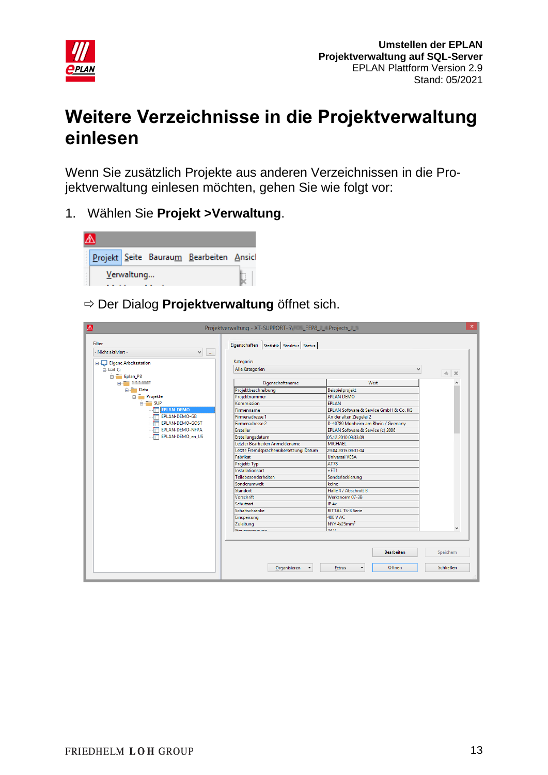

## <span id="page-12-0"></span>**Weitere Verzeichnisse in die Projektverwaltung einlesen**

Wenn Sie zusätzlich Projekte aus anderen Verzeichnissen in die Projektverwaltung einlesen möchten, gehen Sie wie folgt vor:

1. Wählen Sie **Projekt >Verwaltung**.



Der Dialog **Projektverwaltung** öffnet sich.

| $\triangle$<br>Filter<br>- Nicht aktiviert -<br>$\checkmark$<br>$\alpha\alpha$ | Projektverwaltung - XT-SUPPORT-5\    LEEP8_    Projects_    _<br>Eigenschaften   Statistik   Struktur   Status |                                                                   | $\times$                      |
|--------------------------------------------------------------------------------|----------------------------------------------------------------------------------------------------------------|-------------------------------------------------------------------|-------------------------------|
|                                                                                |                                                                                                                |                                                                   |                               |
| Eigene Arbeitsstation                                                          | Kategorie:                                                                                                     |                                                                   |                               |
| $\Box$ $\Box$ $\Box$                                                           | Alle Kategorien                                                                                                | v                                                                 | * *                           |
| Eplan_P8                                                                       |                                                                                                                |                                                                   |                               |
| ó <b>m</b> 111007                                                              | Eigenschaftsname                                                                                               | Wert                                                              |                               |
| in Data                                                                        | Projektbeschreibung                                                                                            | Beispielprojekt                                                   |                               |
| <b>Projekte</b>                                                                | Projektnummer                                                                                                  | <b>EPLAN DEMO</b>                                                 |                               |
| $\frac{1}{\Box}$ SUP                                                           | Kommission                                                                                                     | <b>EPLAN</b>                                                      |                               |
| <b>EPLAN-DEMO</b>                                                              | Firmenname                                                                                                     | EPLAN Software & Service GmbH & Co. KG                            |                               |
| EPLAN-DEMO-GB                                                                  | <b>Firmenadresse 1</b>                                                                                         | An der alten Ziegelei 2                                           |                               |
| EPLAN-DEMO-GOST                                                                | Firmenadresse 2                                                                                                | D-40789 Monheim am Rhein / Germany                                |                               |
| EPLAN-DEMO-NFPA                                                                | <b>Ersteller</b>                                                                                               | EPLAN Software & Service (c) 2006                                 |                               |
| EPLAN-DEMO_en_US                                                               | Erstellungsdatum                                                                                               | 05.12.2010 09:33:09                                               |                               |
|                                                                                | Letzter Bearbeiter: Anmeldename                                                                                | MICHAEL                                                           |                               |
|                                                                                | Letzte Fremdsprachenübersetzung: Datum                                                                         | 29.04.2015 09:31:04                                               |                               |
|                                                                                | Fabrikat                                                                                                       | <b>Universal VESA</b>                                             |                               |
|                                                                                | Projekt: Typ                                                                                                   | <b>AT78</b>                                                       |                               |
|                                                                                | Installationsort                                                                                               | $+ET1$                                                            |                               |
|                                                                                | Teilebesonderheiten                                                                                            | Sonderlackierung                                                  |                               |
|                                                                                | Sonderumwelt                                                                                                   | keine                                                             |                               |
|                                                                                | Standort                                                                                                       | Halle 4 / Abschnitt B                                             |                               |
|                                                                                | <b>Vorschrift</b>                                                                                              | Werksnorm 07-3B                                                   |                               |
|                                                                                | Schutzart                                                                                                      | $IP$ $4x$                                                         |                               |
|                                                                                | Schaltschränke                                                                                                 | <b>RITTAL TS-8 Serie</b>                                          |                               |
|                                                                                | Einspeisung                                                                                                    | 400 V AC                                                          |                               |
|                                                                                | Zuleitung                                                                                                      | NYY 4x25mm <sup>2</sup>                                           |                               |
|                                                                                | Stauerchannung                                                                                                 | 24M                                                               |                               |
|                                                                                | Organisieren                                                                                                   | Bearbeiten<br>Öffnen<br><b>Extras</b><br>$\overline{\phantom{a}}$ | Speichern<br><b>Schließen</b> |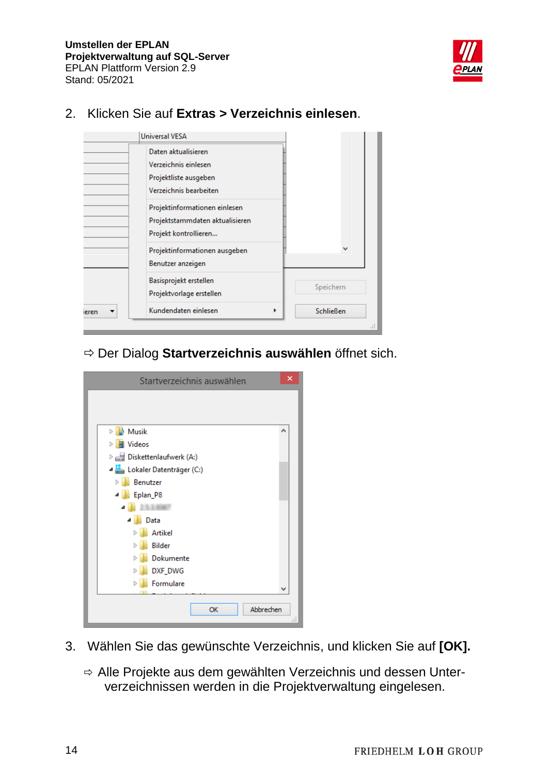

|       | <b>Universal VESA</b>           |              |
|-------|---------------------------------|--------------|
|       | Daten aktualisieren             |              |
|       | Verzeichnis einlesen            |              |
|       | Projektliste ausgeben           |              |
|       | Verzeichnis bearbeiten          |              |
|       | Projektinformationen einlesen   |              |
|       | Projektstammdaten aktualisieren |              |
|       | Projekt kontrollieren           |              |
|       | Projektinformationen ausgeben   | $\checkmark$ |
|       | Benutzer anzeigen               |              |
|       | Basisprojekt erstellen          |              |
|       | Projektvorlage erstellen        | Speichern    |
| ieren | Kundendaten einlesen<br>r       | Schließen    |
|       |                                 |              |

#### 2. Klicken Sie auf **Extras > Verzeichnis einlesen**.

Der Dialog **Startverzeichnis auswählen** öffnet sich.

| Startverzeichnis auswählen          | ×   |
|-------------------------------------|-----|
|                                     |     |
|                                     |     |
| Musik                               | ∧   |
| <b>图 Videos</b><br>$\triangleright$ |     |
| Diskettenlaufwerk (A:)              |     |
| Lokaler Datenträger (C:)            |     |
| ь<br><b>Benutzer</b>                |     |
| 4 Eplan_P8                          |     |
| ◢                                   |     |
| ⊿   Data                            |     |
| Ь<br>Artikel                        |     |
| Bilder<br>Þ                         |     |
| Dokumente<br>ь                      |     |
| DXF_DWG<br>$\triangleright$         |     |
| Formulare<br>$\triangleright$       |     |
|                                     |     |
| Abbrechen<br>OK                     |     |
|                                     | ai. |

- 3. Wählen Sie das gewünschte Verzeichnis, und klicken Sie auf **[OK].**
	- Alle Projekte aus dem gewählten Verzeichnis und dessen Unterverzeichnissen werden in die Projektverwaltung eingelesen.